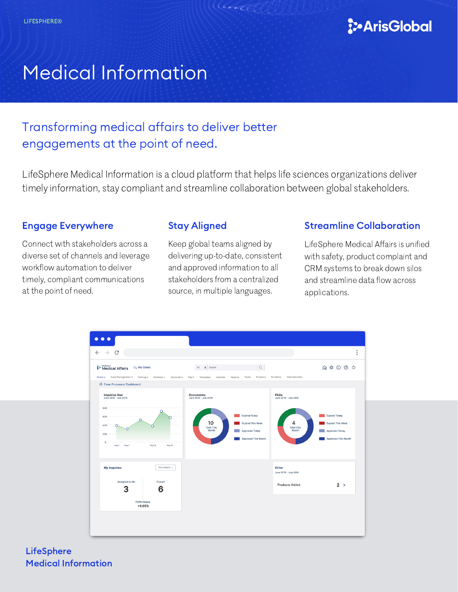

# Medical Information

# Transforming medical affairs to deliver better engagements at the point of need.

LifeSphere Medical Information is a cloud platform that helps life sciences organizations deliver timely information, stay compliant and streamline collaboration between global stakeholders.

# Engage Everywhere

Connect with stakeholders across a diverse set of channels and leverage workflow automation to deliver timely, compliant communications at the point of need.

# Stay Aligned

Keep global teams aligned by delivering up-to-date, consistent and approved information to all stakeholders from a centralized source, in multiple languages.

## Streamline Collaboration

LifeSphere Medical Affairs is unified with safety, product complaint and CRM systems to break down silos and streamline data flow across applications.



**LifeSphere** Medical Information